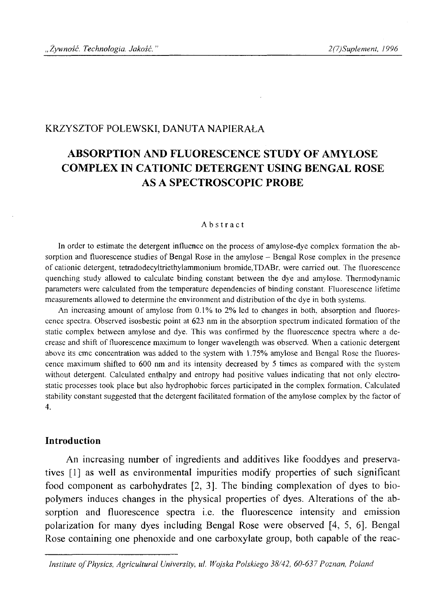# KRZYSZTOF POLEWSKI, DANUTA NAPIERAŁA

# **ABSORPTION AND FLUORESCENCE STUDY OF AMYLOSE COMPLEX IN CATIONIC DETERGENT USING BENGAL ROSE AS A SPECTROSCOPIC PROBE**

#### Abstract

In order to estimate the detergent influence on the process of amylose-dye complex formation the absorption and fluorescence studies of Bengal Rose in the amylose – Bengal Rose complex in the presence of cationic detergent, tetradodecyltriethylammonium bromide,TDABr, were carried out. The fluorescence quenching study allowed to calculate binding constant between the dye and amylose. Thermodynamic parameters were calculated from the temperature dependencies of binding constant. Fluorescence lifetime measurements allowed to determine the environment and distribution of the dye in both systems.

An increasing amount of amylose from  $0.1\%$  to  $2\%$  led to changes in both, absorption and fluorescence spectra. Observed isosbestic point at 623 nm in the absorption spectrum indicated formation of the static complex between amylose and dye. This was confirmed by the fluorescence spectra where a decrease and shift of fluorescence maximum to longer wavelength was observed. When a cationic detergent above its cmc concentration was added to the system with 1.75% amylose and Bengal Rose the fluorescence maximum shifted to 600 nm and its intensity decreased by 5 times as compared with the system without detergent. Calculated enthalpy and entropy had positive values indicating that not only electrostatic processes took place but also hydrophobic forces participated in the complex formation. Calculated stability constant suggested that the detergent facilitated formation of the amylose complex by the factor of 4.

### **Introduction**

An increasing number of ingredients and additives like fooddyes and preservatives [1] as well as environmental impurities modify properties of such significant food component as carbohydrates [2, 3]. The binding complexation of dyes to biopolymers induces changes in the physical properties of dyes. Alterations of the absorption and fluorescence spectra i.e. the fluorescence intensity and emission polarization for many dyes including Bengal Rose were observed [4, 5, 6]. Bengal Rose containing one phenoxide and one carboxylate group, both capable of the reac-

*Institute of Physics, Agricultural University, ul. Wojska Polskiego 38/42, 60-637 Poznan, Poland*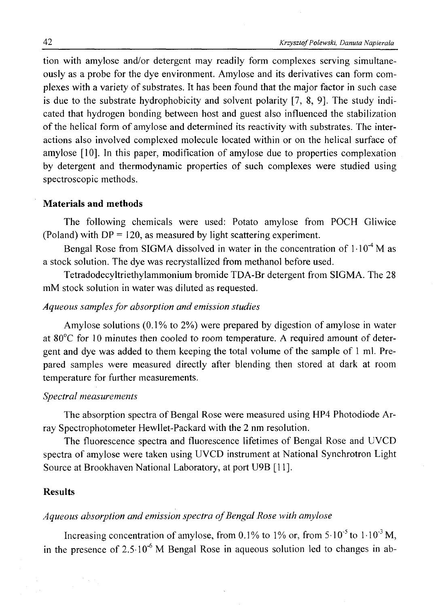tion with amylose and/or detergent may readily form complexes serving simultaneously as a probe for the dye environment. Amylose and its derivatives can form complexes with a variety of substrates. It has been found that the major factor in such case is due to the substrate hydrophobicity and solvent polarity [7, 8, 9]. The study indicated that hydrogen bonding between host and guest also influenced the stabilization of the helical form of amylose and determined its reactivity with substrates. The interactions also involved complexed molecule located within or on the helical surface of amylose [10], In this paper, modification of amylose due to properties complexation by detergent and thermodynamic properties of such complexes were studied using spectroscopic methods.

### **Materials and methods**

The following chemicals were used: Potato amylose from POCH Gliwice (Poland) with  $DP = 120$ , as measured by light scattering experiment.

Bengal Rose from SIGMA dissolved in water in the concentration of  $1 \cdot 10^{-4}$  M as a stock solution. The dye was recrystallized from methanol before used.

Tetradodecyltriethylammonium bromide TDA-Br detergent from SIGMA. The 28 mM stock solution in water was diluted as requested.

### *Aqueous samples for absorption and emission studies*

Amylose solutions (0.1% to 2%) were prepared by digestion of amylose in water at 80°C for 10 minutes then cooled to room temperature. A required amount of detergent and dye was added to them keeping the total volume of the sample of 1 ml. Prepared samples were measured directly after blending then stored at dark at room temperature for further measurements.

### *Spectral measurements*

The absorption spectra of Bengal Rose were measured using HP4 Photodiode Array Spectrophotometer Hewllet-Packard with the 2 nm resolution.

The fluorescence spectra and fluorescence lifetimes of Bengal Rose and UVCD spectra of amylose were taken using UVCD instrument at National Synchrotron Light Source at Brookhaven National Laboratory, at port U9B [11],

### **Results**

# *Aqueous absorption and emission spectra o f Bengal Rose with amylose*

Increasing concentration of amylose, from 0.1% to 1% or, from  $5 \cdot 10^{-5}$  to  $1 \cdot 10^{-3}$  M. in the presence of  $2.5 \cdot 10^{-6}$  M Bengal Rose in aqueous solution led to changes in ab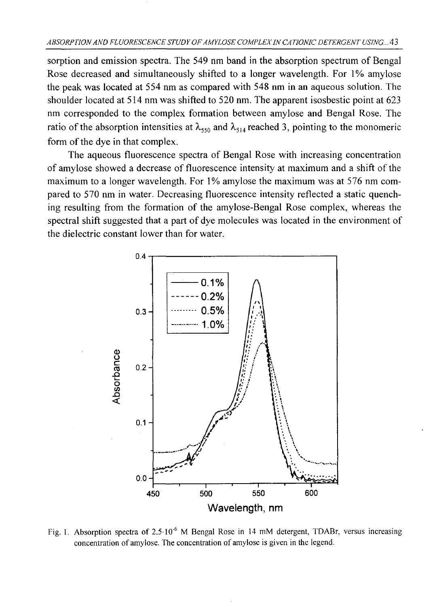sorption and emission spectra. The 549 nm band in the absorption spectrum of Bengal Rose decreased and simultaneously shifted to a longer wavelength. For 1% amylose the peak was located at 554 nm as compared with 548 nm in an aqueous solution. The shoulder located at 514 nm was shifted to 520 nm. The apparent isosbestic point at 623 nm corresponded to the complex formation between amylose and Bengal Rose. The ratio of the absorption intensities at  $\lambda_{550}$  and  $\lambda_{514}$  reached 3, pointing to the monomeric form of the dye in that complex.

The aqueous fluorescence spectra of Bengal Rose with increasing concentration of amylose showed a decrease of fluorescence intensity at maximum and a shift of the maximum to a longer wavelength. For 1% amylose the maximum was at 576 nm compared to 570 nm in water. Decreasing fluorescence intensity reflected a static quenching resulting from the formation of the amylose-Bengal Rose complex, whereas the spectral shift suggested that a part of dye molecules was located in the environment of the dielectric constant lower than for water.



Fig. 1. Absorption spectra of 2.5 10<sup>-6</sup> M Bengal Rose in 14 mM detergent, TDABr, versus increasing concentration of amylose. The concentration of amylose is given in the legend.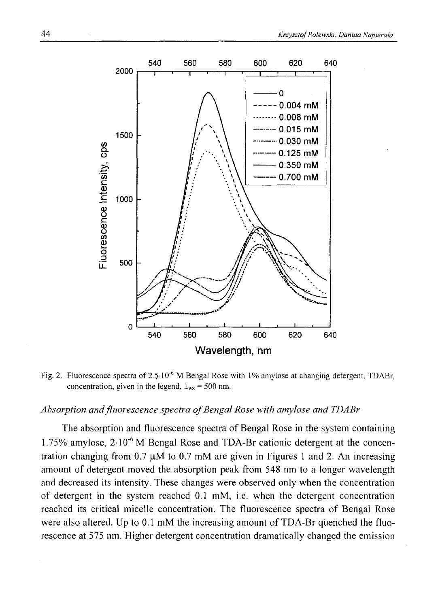

Fig. 2. Fluorescence spectra of 2.5-10<sup>-6</sup> M Bengal Rose with 1% amylose at changing detergent, TDABr, concentration, given in the legend,  $l_{ex} = 500$  nm.

#### *Absorption and fluorescence spectra o f Bengal Rose with amylose and TDABr*

The absorption and fluorescence spectra of Bengal Rose in the system containing 1.75% amylose, 21 O'6 M Bengal Rose and TDA-Br cationic detergent at the concentration changing from 0.7  $\mu$ M to 0.7 mM are given in Figures 1 and 2. An increasing amount of detergent moved the absorption peak from 548 nm to a longer wavelength and decreased its intensity. These changes were observed only when the concentration of detergent in the system reached 0.1 mM, i.e. when the detergent concentration reached its critical micelle concentration. The fluorescence spectra of Bengal Rose were also altered. Up to 0.1 mM the increasing amount of TDA-Br quenched the fluorescence at 575 nm. Higher detergent concentration dramatically changed the emission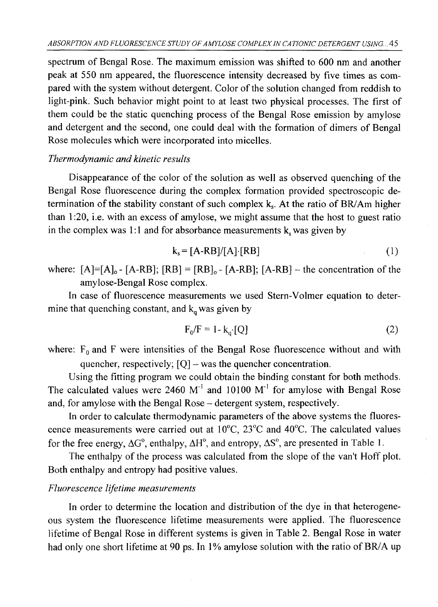spectrum of Bengal Rose. The maximum emission was shifted to 600 nm and another peak at 550 nm appeared, the fluorescence intensity decreased by five times as compared with the system without detergent. Color of the solution changed from reddish to light-pink. Such behavior might point to at least two physical processes. The first of them could be the static quenching process of the Bengal Rose emission by amylose and detergent and the second, one could deal with the formation of dimers of Bengal Rose molecules which were incorporated into micelles.

### *Thermodynamic and kinetic results*

Disappearance of the color of the solution as well as observed quenching of the Bengal Rose fluorescence during the complex formation provided spectroscopic determination of the stability constant of such complex  $k_s$ . At the ratio of BR/Am higher than 1:20, i.e. with an excess of amylose, we might assume that the host to guest ratio in the complex was 1:1 and for absorbance measurements  $k_s$  was given by

$$
k_s = [A-RB]/[A] \cdot [RB] \tag{1}
$$

where:  $[A]=[A]_0$  -  $[A-RB]$ ;  $[RB] = [RB]_0$  -  $[A-RB]$ ;  $[A-RB]$  – the concentration of the amylose-Bengal Rose complex.

In case of fluorescence measurements we used Stern-Volmer equation to determine that quenching constant, and  $k_q$  was given by

$$
F_0/F = 1 - k_q \cdot [Q] \tag{2}
$$

where:  $F_0$  and F were intensities of the Bengal Rose fluorescence without and with quencher, respectively; [Q] - was the quencher concentration.

Using the fitting program we could obtain the binding constant for both methods. The calculated values were 2460  $M<sup>-1</sup>$  and 10100  $M<sup>-1</sup>$  for amylose with Bengal Rose and, for amylose with the Bengal Rose - detergent system, respectively.

In order to calculate thermodynamic parameters of the above systems the fluorescence measurements were carried out at 10°C, 23°C and 40°C. The calculated values for the free energy,  $\Delta G^{\circ}$ , enthalpy,  $\Delta H^{\circ}$ , and entropy,  $\Delta S^{\circ}$ , are presented in Table 1.

The enthalpy of the process was calculated from the slope of the van't Hoff plot. Both enthalpy and entropy had positive values.

### *Fluorescence lifetime measurements*

In order to determine the location and distribution of the dye in that heterogeneous system the fluorescence lifetime measurements were applied. The fluorescence lifetime of Bengal Rose in different systems is given in Table 2. Bengal Rose in water had only one short lifetime at 90 ps. In 1% amylose solution with the ratio of BR/A up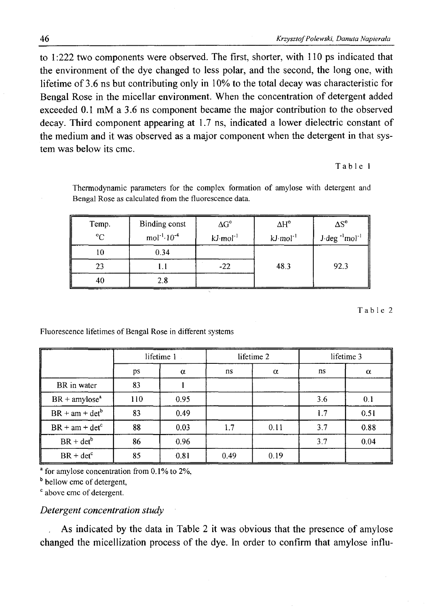to 1:222 two components were observed. The first, shorter, with 110 ps indicated that the environment of the dye changed to less polar, and the second, the long one, with lifetime of 3.6 ns but contributing only in 10% to the total decay was characteristic for Bengal Rose in the micellar environment. When the concentration of detergent added exceeded 0.1 mM a 3.6 ns component became the major contribution to the observed decay. Third component appearing at 1.7 ns, indicated a lower dielectric constant of the medium and it was observed as a major component when the detergent in that system was below its cmc.

#### Table 1

Thermodynamic parameters for the complex formation of amylose with detergent and Bengal Rose as calculated from the fluorescence data.

| Temp.<br>$^{\circ}C$ | Binding const      | $\Delta G^{\circ}$    | $\Delta H^{\circ}$     | $\Delta S^{\circ}$                      |
|----------------------|--------------------|-----------------------|------------------------|-----------------------------------------|
|                      | $mol^{-1}·10^{-4}$ | $kJ \text{ mol}^{-1}$ | $kJ$ mol <sup>-1</sup> | $J$ deg <sup>-1</sup> mol <sup>-1</sup> |
|                      | 0.34               |                       |                        |                                         |
| 23                   |                    | $-22$                 | 48.3                   | 92.3                                    |
|                      |                    |                       |                        |                                         |

Table 2

Fluorescence lifetimes of Bengal Rose in different systems

|                             | lifetime 1 |          | lifetime 2 |          | lifetime 3 |          |
|-----------------------------|------------|----------|------------|----------|------------|----------|
|                             | ps         | $\alpha$ | ns         | $\alpha$ | ns         | $\alpha$ |
| BR in water                 | 83         |          |            |          |            |          |
| $BR +$ amylose <sup>a</sup> | 110        | 0.95     |            |          | 3.6        | 0.1      |
| $BR + am + det^b$           | 83         | 0.49     |            |          | 1.7        | 0.51     |
| $BR + am + detc$            | 88         | 0.03     | 1.7        | 0.11     | 3.7        | 0.88     |
| $BR + det^b$                | 86         | 0.96     |            |          | 3.7        | 0.04     |
| $BR + detc$                 | 85         | 0.81     | 0.49       | 0.19     |            |          |

 $\overline{\phantom{a}}$  for amylose concentration from 0.1% to 2%.

b bellow cmc of detergent,

 $c$  above cmc of detergent.

# *Detergent concentration study*

As indicated by the data in Table 2 it was obvious that the presence of amylose changed the micellization process of the dye. In order to confirm that amylose influ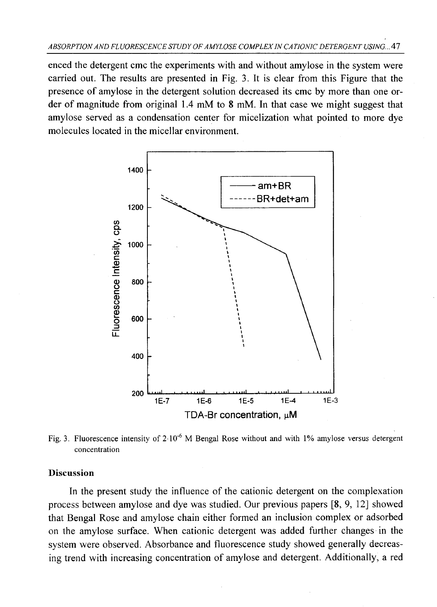enced the detergent cmc the experiments with and without amylose in the system were carried out. The results are presented in Fig. 3. It is clear from this Figure that the presence of amylose in the detergent solution decreased its cmc by more than one order of magnitude from original 1.4 mM to 8 mM. In that case we might suggest that amylose served as a condensation center for micelization what pointed to more dye molecules located in the micellar environment.



Fig. 3. Fluorescence intensity of  $2.10^{-6}$  M Bengal Rose without and with 1% amylose versus detergent concentration

### **Discussion**

In the present study the influence of the cationic detergent on the complexation process between amylose and dye was studied. Our previous papers [8, 9, 12] showed that Bengal Rose and amylose chain either formed an inclusion complex or adsorbed on the amylose surface. When cationic detergent was added further changes in the system were observed. Absorbance and fluorescence study showed generally decreasing trend with increasing concentration of amylose and detergent. Additionally, a red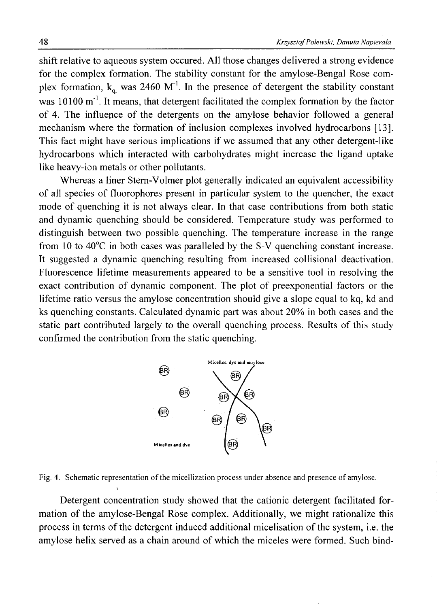shift relative to aqueous system occured. All those changes delivered a strong evidence for the complex formation. The stability constant for the amylose-Bengal Rose complex formation,  $k_a$  was 2460 M<sup>-1</sup>. In the presence of detergent the stability constant was  $10100 \text{ m}^{-1}$ . It means, that detergent facilitated the complex formation by the factor of 4. The influence of the detergents on the amylose behavior followed a general mechanism where the formation of inclusion complexes involved hydrocarbons [13]. This fact might have serious implications if we assumed that any other detergent-like hydrocarbons which interacted with carbohydrates might increase the ligand uptake like heavy-ion metals or other pollutants.

Whereas a liner Stern-Volmer plot generally indicated an equivalent accessibility of all species of fluorophores present in particular system to the quencher, the exact mode of quenching it is not always clear. In that case contributions from both static and dynamic quenching should be considered. Temperature study was performed to distinguish between two possible quenching. The temperature increase in the range from 10 to 40°C in both cases was paralleled by the S-V quenching constant increase. It suggested a dynamic quenching resulting from increased collisional deactivation. Fluorescence lifetime measurements appeared to be a sensitive tool in resolving the exact contribution of dynamic component. The plot of preexponential factors or the lifetime ratio versus the amylose concentration should give a slope equal to kq, kd and ks quenching constants. Calculated dynamic part was about 20% in both cases and the static part contributed largely to the overall quenching process. Results of this study confirmed the contribution from the static quenching.



Fig. 4. Schematic representation of the micellization process under absence and presence of amylose.

Detergent concentration study showed that the cationic detergent facilitated formation of the amylose-Bengal Rose complex. Additionally, we might rationalize this process in terms of the detergent induced additional micelisation of the system, i.e. the amylose helix served as a chain around of which the miceles were formed. Such bind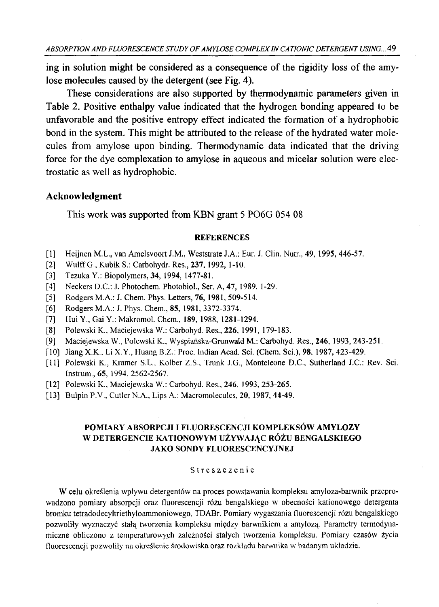ing in solution might be considered as a consequence of the rigidity loss of the amy**lose molecules caused by the detergent (see Fig. 4).**

**These considerations are also supported by thermodynamic parameters given in Table 2. Positive enthalpy value indicated that the hydrogen bonding appeared to be** unfavorable and the positive entropy effect indicated the formation of a hydrophobic bond in the system. This might be attributed to the release of the hydrated water mole**cules from amylose upon binding. Thermodynamic data indicated that the driving force for the dye complexation to amylose in aqueous and micelar solution were electrostatic as well as hydrophobic.**

### **Acknowledgment**

**This work was supported from KBN grant 5 P06G 054 08**

#### **REFERENCES**

- [1] Heijnen M.L., van Amelsvoort J.M., Weststrate J.A.: Eur. J. Clin. Nutr., 49, 1995, 446-57.
- [2] W ulff G., Kubik S.: Carbohydr. Res., **237,** 1992, 1-10.
- [3] Tezuka Y.: Biopolymers, **34,** 1994, 1477-81.
- [4] Neckers D.C.: J. Photochem. Photobiol., Ser. A, **47,** 1989, 1-29.
- [5] Rodgers M.A.: J. Chem. Phys. Letters, **76,** 1981, 509-514.
- [6] Rodgers M.A.: J. Phys. Chem., **85,** 1981, 3372-3374.
- [7] Hui Y., Gai Y.: Makromol. Chem., 189, 1988, 1281-1294.
- [8] Polewski K., Maciejewska W.: Carbohyd. Res., **226,** 1991, 179-183.
- [9] Maciejewska W., Polewski K., Wyspiańska-Grunwald M.: Carbohyd. Res., **246,** 1993, 243-251.
- [10] Jiang **X.K.,** Li X.Y., Huang B.Z.: Proc. Indian Acad. Sci. (Chem. Sci.), **98,** 1987, 423-429.
- [11] Polewski K., Kramer S.L., Kolber Z.S., Trunk J.G., Monteleone D.C., Sutherland J.C.: Rev. Sci. Instrum., **65,** 1994, 2562-2567.
- [12] Polewski K., Maciejewska W.: Carbohyd. Res., 246, 1993, 253-265.
- [13] Bulpin P.V., Cutler N.A., Lips A.: Macromolecules, **20,** 1987, 44-49.

### **POMIARY ABSORPCJI I FLUORESCENCJI KOMPLEKSÓW AMYLOZY W DETERGENCIE KATIONOWYM UŻYWAJĄC RÓŻU BENGALSKIEGO JAKO SONDY FLUORESCENCYJNEJ**

#### Streszczenie

W celu określenia wpływu detergentów na proces powstawania kompleksu amyloza-barwnik przeprowadzono pomiary absorpcji oraz fluorescencji różu bengalskiego w obecności kationowego detergenta bromku tetradodecyltriethyloammoniowego, TDABr. Pomiary wygaszania fluorescencji różu bengalskiego pozwoliły wyznaczyć stałą tworzenia kompleksu między barwnikiem a amylozą. Parametry termodynamiczne obliczono z temperaturowych zależności stałych tworzenia kompleksu. Pomiary czasów życia fluorescencji pozwoliły na określenie środowiska oraz rozkładu barwnika w badanym układzie.